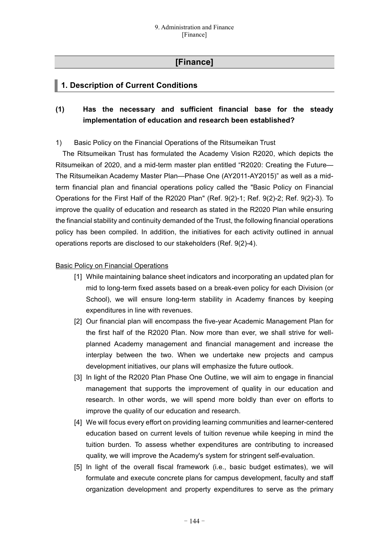# **[Finance]**

# **1. Description of Current Conditions**

# **(1) Has the necessary and sufficient financial base for the steady implementation of education and research been established?**

## 1) Basic Policy on the Financial Operations of the Ritsumeikan Trust

The Ritsumeikan Trust has formulated the Academy Vision R2020, which depicts the Ritsumeikan of 2020, and a mid-term master plan entitled "R2020: Creating the Future— The Ritsumeikan Academy Master Plan—Phase One (AY2011-AY2015)" as well as a midterm financial plan and financial operations policy called the "Basic Policy on Financial Operations for the First Half of the R2020 Plan" (Ref. 9(2)-1; Ref. 9(2)-2; Ref. 9(2)-3). To improve the quality of education and research as stated in the R2020 Plan while ensuring the financial stability and continuity demanded of the Trust, the following financial operations policy has been compiled. In addition, the initiatives for each activity outlined in annual operations reports are disclosed to our stakeholders (Ref. 9(2)-4).

## Basic Policy on Financial Operations

- [1] While maintaining balance sheet indicators and incorporating an updated plan for mid to long-term fixed assets based on a break-even policy for each Division (or School), we will ensure long-term stability in Academy finances by keeping expenditures in line with revenues.
- [2] Our financial plan will encompass the five-year Academic Management Plan for the first half of the R2020 Plan. Now more than ever, we shall strive for wellplanned Academy management and financial management and increase the interplay between the two. When we undertake new projects and campus development initiatives, our plans will emphasize the future outlook.
- [3] In light of the R2020 Plan Phase One Outline, we will aim to engage in financial management that supports the improvement of quality in our education and research. In other words, we will spend more boldly than ever on efforts to improve the quality of our education and research.
- [4] We will focus every effort on providing learning communities and learner-centered education based on current levels of tuition revenue while keeping in mind the tuition burden. To assess whether expenditures are contributing to increased quality, we will improve the Academy's system for stringent self-evaluation.
- [5] In light of the overall fiscal framework (i.e., basic budget estimates), we will formulate and execute concrete plans for campus development, faculty and staff organization development and property expenditures to serve as the primary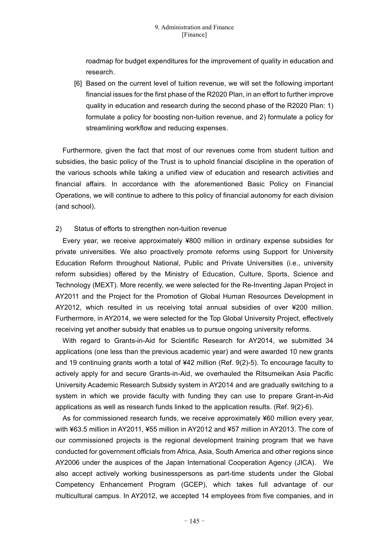roadmap for budget expenditures for the improvement of quality in education and research.

[6] Based on the current level of tuition revenue, we will set the following important financial issues for the first phase of the R2020 Plan, in an effort to further improve quality in education and research during the second phase of the R2020 Plan: 1) formulate a policy for boosting non-tuition revenue, and 2) formulate a policy for streamlining workflow and reducing expenses.

Furthermore, given the fact that most of our revenues come from student tuition and subsidies, the basic policy of the Trust is to uphold financial discipline in the operation of the various schools while taking a unified view of education and research activities and financial affairs. In accordance with the aforementioned Basic Policy on Financial Operations, we will continue to adhere to this policy of financial autonomy for each division (and school).

#### 2) Status of efforts to strengthen non-tuition revenue

Every year, we receive approximately ¥800 million in ordinary expense subsidies for private universities. We also proactively promote reforms using Support for University Education Reform throughout National, Public and Private Universities (i.e., university reform subsidies) offered by the Ministry of Education, Culture, Sports, Science and Technology (MEXT). More recently, we were selected for the Re-Inventing Japan Project in AY2011 and the Project for the Promotion of Global Human Resources Development in AY2012, which resulted in us receiving total annual subsidies of over ¥200 million. Furthermore, in AY2014, we were selected for the Top Global University Project, effectively receiving yet another subsidy that enables us to pursue ongoing university reforms.

With regard to Grants-in-Aid for Scientific Research for AY2014, we submitted 34 applications (one less than the previous academic year) and were awarded 10 new grants and 19 continuing grants worth a total of ¥42 million (Ref. 9(2)-5). To encourage faculty to actively apply for and secure Grants-in-Aid, we overhauled the Ritsumeikan Asia Pacific University Academic Research Subsidy system in AY2014 and are gradually switching to a system in which we provide faculty with funding they can use to prepare Grant-in-Aid applications as well as research funds linked to the application results. (Ref. 9(2)-6).

As for commissioned research funds, we receive approximately ¥60 million every year, with ¥63.5 million in AY2011, ¥55 million in AY2012 and ¥57 million in AY2013. The core of our commissioned projects is the regional development training program that we have conducted for government officials from Africa, Asia, South America and other regions since AY2006 under the auspices of the Japan International Cooperation Agency (JICA). We also accept actively working businesspersons as part-time students under the Global Competency Enhancement Program (GCEP), which takes full advantage of our multicultural campus. In AY2012, we accepted 14 employees from five companies, and in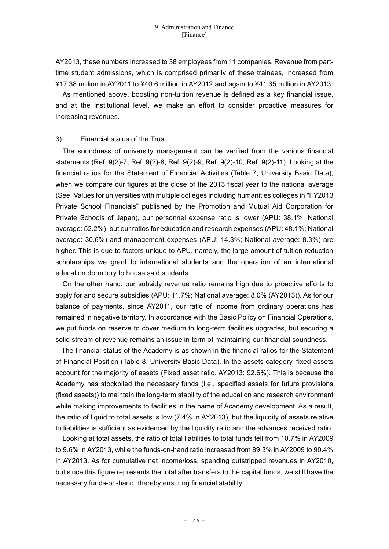AY2013, these numbers increased to 38 employees from 11 companies. Revenue from parttime student admissions, which is comprised primarily of these trainees, increased from ¥17.38 million in AY2011 to ¥40.6 million in AY2012 and again to ¥41.35 million in AY2013.

As mentioned above, boosting non-tuition revenue is defined as a key financial issue, and at the institutional level, we make an effort to consider proactive measures for increasing revenues.

#### 3) Financial status of the Trust

The soundness of university management can be verified from the various financial statements (Ref. 9(2)-7; Ref. 9(2)-8; Ref. 9(2)-9; Ref. 9(2)-10; Ref. 9(2)-11). Looking at the financial ratios for the Statement of Financial Activities (Table 7, University Basic Data), when we compare our figures at the close of the 2013 fiscal year to the national average (See: Values for universities with multiple colleges including humanities colleges in "FY2013 Private School Financials" published by the Promotion and Mutual Aid Corporation for Private Schools of Japan), our personnel expense ratio is lower (APU: 38.1%; National average: 52.2%), but our ratios for education and research expenses (APU: 48.1%; National average: 30.6%) and management expenses (APU: 14.3%; National average: 8.3%) are higher. This is due to factors unique to APU, namely, the large amount of tuition reduction scholarships we grant to international students and the operation of an international education dormitory to house said students.

On the other hand, our subsidy revenue ratio remains high due to proactive efforts to apply for and secure subsidies (APU: 11.7%; National average: 8.0% (AY2013)). As for our balance of payments, since AY2011, our ratio of income from ordinary operations has remained in negative territory. In accordance with the Basic Policy on Financial Operations, we put funds on reserve to cover medium to long-term facilities upgrades, but securing a solid stream of revenue remains an issue in term of maintaining our financial soundness.

The financial status of the Academy is as shown in the financial ratios for the Statement of Financial Position (Table 8, University Basic Data). In the assets category, fixed assets account for the majority of assets (Fixed asset ratio, AY2013: 92.6%). This is because the Academy has stockpiled the necessary funds (i.e., specified assets for future provisions (fixed assets)) to maintain the long-term stability of the education and research environment while making improvements to facilities in the name of Academy development. As a result, the ratio of liquid to total assets is low (7.4% in AY2013), but the liquidity of assets relative to liabilities is sufficient as evidenced by the liquidity ratio and the advances received ratio.

Looking at total assets, the ratio of total liabilities to total funds fell from 10.7% in AY2009 to 9.6% in AY2013, while the funds-on-hand ratio increased from 89.3% in AY2009 to 90.4% in AY2013. As for cumulative net income/loss, spending outstripped revenues in AY2010, but since this figure represents the total after transfers to the capital funds, we still have the necessary funds-on-hand, thereby ensuring financial stability.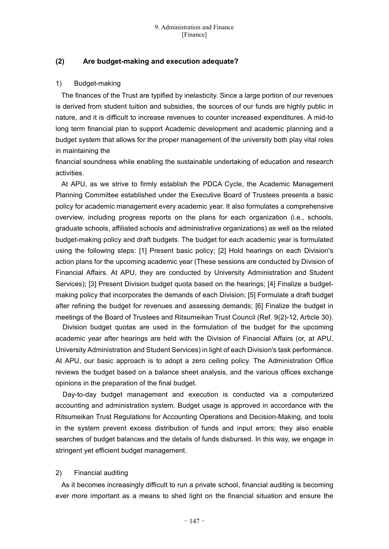## **(2) Are budget-making and execution adequate?**

#### 1) Budget-making

The finances of the Trust are typified by inelasticity. Since a large portion of our revenues is derived from student tuition and subsidies, the sources of our funds are highly public in nature, and it is difficult to increase revenues to counter increased expenditures. A mid-to long term financial plan to support Academic development and academic planning and a budget system that allows for the proper management of the university both play vital roles in maintaining the

financial soundness while enabling the sustainable undertaking of education and research activities.

At APU, as we strive to firmly establish the PDCA Cycle, the Academic Management Planning Committee established under the Executive Board of Trustees presents a basic policy for academic management every academic year. It also formulates a comprehensive overview, including progress reports on the plans for each organization (i.e., schools, graduate schools, affiliated schools and administrative organizations) as well as the related budget-making policy and draft budgets. The budget for each academic year is formulated using the following steps: [1] Present basic policy; [2] Hold hearings on each Division's action plans for the upcoming academic year (These sessions are conducted by Division of Financial Affairs. At APU, they are conducted by University Administration and Student Services); [3] Present Division budget quota based on the hearings; [4] Finalize a budgetmaking policy that incorporates the demands of each Division; [5] Formulate a draft budget after refining the budget for revenues and assessing demands; [6] Finalize the budget in meetings of the Board of Trustees and Ritsumeikan Trust Council (Ref. 9(2)-12, Article 30).

Division budget quotas are used in the formulation of the budget for the upcoming academic year after hearings are held with the Division of Financial Affairs (or, at APU, University Administration and Student Services) in light of each Division's task performance. At APU, our basic approach is to adopt a zero ceiling policy. The Administration Office reviews the budget based on a balance sheet analysis, and the various offices exchange opinions in the preparation of the final budget.

Day-to-day budget management and execution is conducted via a computerized accounting and administration system. Budget usage is approved in accordance with the Ritsumeikan Trust Regulations for Accounting Operations and Decision-Making, and tools in the system prevent excess distribution of funds and input errors; they also enable searches of budget balances and the details of funds disbursed. In this way, we engage in stringent yet efficient budget management.

#### 2) Financial auditing

As it becomes increasingly difficult to run a private school, financial auditing is becoming ever more important as a means to shed light on the financial situation and ensure the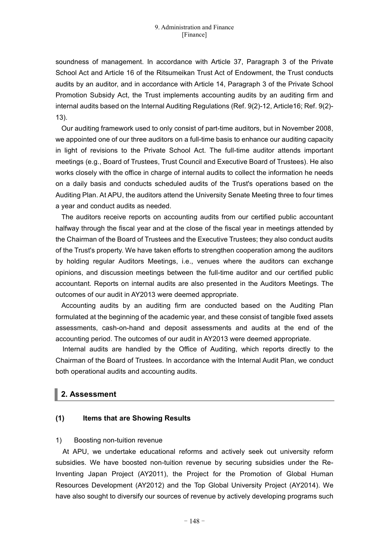soundness of management. In accordance with Article 37, Paragraph 3 of the Private School Act and Article 16 of the Ritsumeikan Trust Act of Endowment, the Trust conducts audits by an auditor, and in accordance with Article 14, Paragraph 3 of the Private School Promotion Subsidy Act, the Trust implements accounting audits by an auditing firm and internal audits based on the Internal Auditing Regulations (Ref. 9(2)-12, Article16; Ref. 9(2)- 13).

Our auditing framework used to only consist of part-time auditors, but in November 2008, we appointed one of our three auditors on a full-time basis to enhance our auditing capacity in light of revisions to the Private School Act. The full-time auditor attends important meetings (e.g., Board of Trustees, Trust Council and Executive Board of Trustees). He also works closely with the office in charge of internal audits to collect the information he needs on a daily basis and conducts scheduled audits of the Trust's operations based on the Auditing Plan. At APU, the auditors attend the University Senate Meeting three to four times a year and conduct audits as needed.

The auditors receive reports on accounting audits from our certified public accountant halfway through the fiscal year and at the close of the fiscal year in meetings attended by the Chairman of the Board of Trustees and the Executive Trustees; they also conduct audits of the Trust's property. We have taken efforts to strengthen cooperation among the auditors by holding regular Auditors Meetings, i.e., venues where the auditors can exchange opinions, and discussion meetings between the full-time auditor and our certified public accountant. Reports on internal audits are also presented in the Auditors Meetings. The outcomes of our audit in AY2013 were deemed appropriate.

Accounting audits by an auditing firm are conducted based on the Auditing Plan formulated at the beginning of the academic year, and these consist of tangible fixed assets assessments, cash-on-hand and deposit assessments and audits at the end of the accounting period. The outcomes of our audit in AY2013 were deemed appropriate.

Internal audits are handled by the Office of Auditing, which reports directly to the Chairman of the Board of Trustees. In accordance with the Internal Audit Plan, we conduct both operational audits and accounting audits.

# **2. Assessment**

#### **(1) Items that are Showing Results**

#### 1) Boosting non-tuition revenue

At APU, we undertake educational reforms and actively seek out university reform subsidies. We have boosted non-tuition revenue by securing subsidies under the Re-Inventing Japan Project (AY2011), the Project for the Promotion of Global Human Resources Development (AY2012) and the Top Global University Project (AY2014). We have also sought to diversify our sources of revenue by actively developing programs such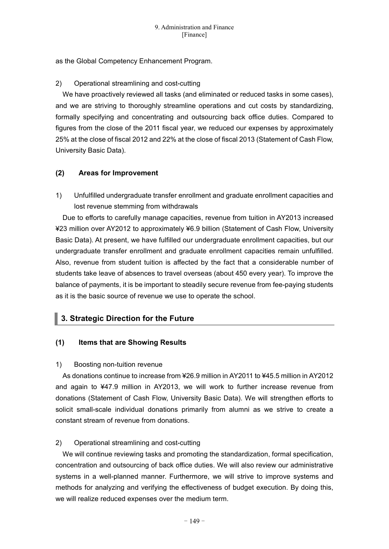as the Global Competency Enhancement Program.

## 2) Operational streamlining and cost-cutting

We have proactively reviewed all tasks (and eliminated or reduced tasks in some cases), and we are striving to thoroughly streamline operations and cut costs by standardizing, formally specifying and concentrating and outsourcing back office duties. Compared to figures from the close of the 2011 fiscal year, we reduced our expenses by approximately 25% at the close of fiscal 2012 and 22% at the close of fiscal 2013 (Statement of Cash Flow, University Basic Data).

# **(2) Areas for Improvement**

1) Unfulfilled undergraduate transfer enrollment and graduate enrollment capacities and lost revenue stemming from withdrawals

Due to efforts to carefully manage capacities, revenue from tuition in AY2013 increased ¥23 million over AY2012 to approximately ¥6.9 billion (Statement of Cash Flow, University Basic Data). At present, we have fulfilled our undergraduate enrollment capacities, but our undergraduate transfer enrollment and graduate enrollment capacities remain unfulfilled. Also, revenue from student tuition is affected by the fact that a considerable number of students take leave of absences to travel overseas (about 450 every year). To improve the balance of payments, it is be important to steadily secure revenue from fee-paying students as it is the basic source of revenue we use to operate the school.

# **3. Strategic Direction for the Future**

# **(1) Items that are Showing Results**

#### 1) Boosting non-tuition revenue

As donations continue to increase from ¥26.9 million in AY2011 to ¥45.5 million in AY2012 and again to ¥47.9 million in AY2013, we will work to further increase revenue from donations (Statement of Cash Flow, University Basic Data). We will strengthen efforts to solicit small-scale individual donations primarily from alumni as we strive to create a constant stream of revenue from donations.

# 2) Operational streamlining and cost-cutting

We will continue reviewing tasks and promoting the standardization, formal specification, concentration and outsourcing of back office duties. We will also review our administrative systems in a well-planned manner. Furthermore, we will strive to improve systems and methods for analyzing and verifying the effectiveness of budget execution. By doing this, we will realize reduced expenses over the medium term.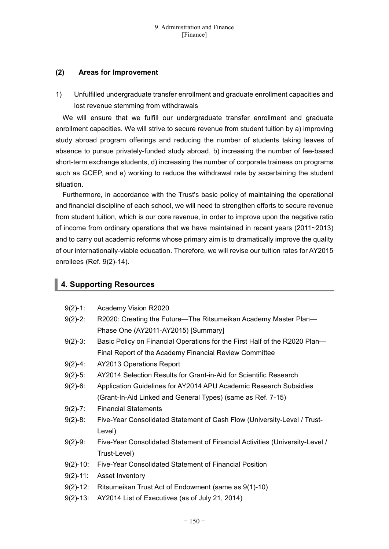## **(2) Areas for Improvement**

1) Unfulfilled undergraduate transfer enrollment and graduate enrollment capacities and lost revenue stemming from withdrawals

We will ensure that we fulfill our undergraduate transfer enrollment and graduate enrollment capacities. We will strive to secure revenue from student tuition by a) improving study abroad program offerings and reducing the number of students taking leaves of absence to pursue privately-funded study abroad, b) increasing the number of fee-based short-term exchange students, d) increasing the number of corporate trainees on programs such as GCEP, and e) working to reduce the withdrawal rate by ascertaining the student situation.

Furthermore, in accordance with the Trust's basic policy of maintaining the operational and financial discipline of each school, we will need to strengthen efforts to secure revenue from student tuition, which is our core revenue, in order to improve upon the negative ratio of income from ordinary operations that we have maintained in recent years (2011~2013) and to carry out academic reforms whose primary aim is to dramatically improve the quality of our internationally-viable education. Therefore, we will revise our tuition rates for AY2015 enrollees (Ref. 9(2)-14).

# **4. Supporting Resources**

| $9(2)-1$ :    | Academy Vision R2020                                                         |
|---------------|------------------------------------------------------------------------------|
| $9(2)-2$ :    | R2020: Creating the Future—The Ritsumeikan Academy Master Plan—              |
|               | Phase One (AY2011-AY2015) [Summary]                                          |
| $9(2)-3$ :    | Basic Policy on Financial Operations for the First Half of the R2020 Plan-   |
|               | Final Report of the Academy Financial Review Committee                       |
| $9(2)-4$ :    | <b>AY2013 Operations Report</b>                                              |
| $9(2)-5$ :    | AY2014 Selection Results for Grant-in-Aid for Scientific Research            |
| $9(2)-6$ :    | Application Guidelines for AY2014 APU Academic Research Subsidies            |
|               | (Grant-In-Aid Linked and General Types) (same as Ref. 7-15)                  |
| $9(2)-7$ :    | <b>Financial Statements</b>                                                  |
| $9(2)-8$ :    | Five-Year Consolidated Statement of Cash Flow (University-Level / Trust-     |
|               | Level)                                                                       |
| $9(2)-9$ :    | Five-Year Consolidated Statement of Financial Activities (University-Level / |
|               | Trust-Level)                                                                 |
| $9(2)-10$ :   | Five-Year Consolidated Statement of Financial Position                       |
| $9(2) - 11$ : | Asset Inventory                                                              |
| $9(2) - 12$ : | Ritsumeikan Trust Act of Endowment (same as 9(1)-10)                         |
| $9(2)-13$ :   | AY2014 List of Executives (as of July 21, 2014)                              |
|               |                                                                              |